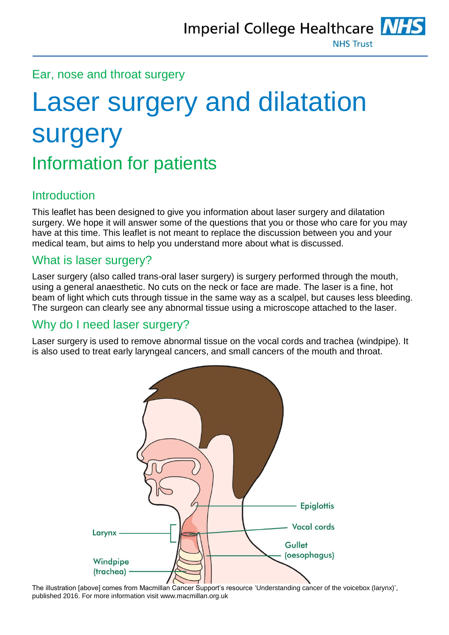#### Ear, nose and throat surgery

# Laser surgery and dilatation surgery Information for patients

# Introduction

This leaflet has been designed to give you information about laser surgery and dilatation surgery. We hope it will answer some of the questions that you or those who care for you may have at this time. This leaflet is not meant to replace the discussion between you and your medical team, but aims to help you understand more about what is discussed.

# What is laser surgery?

Laser surgery (also called trans-oral laser surgery) is surgery performed through the mouth, using a general anaesthetic. No cuts on the neck or face are made. The laser is a fine, hot beam of light which cuts through tissue in the same way as a scalpel, but causes less bleeding. The surgeon can clearly see any abnormal tissue using a microscope attached to the laser.

# Why do I need laser surgery?

Laser surgery is used to remove abnormal tissue on the vocal cords and trachea (windpipe). It is also used to treat early laryngeal cancers, and small cancers of the mouth and throat.



The illustration [above] comes from Macmillan Cancer Support's resource 'Understanding cancer of the voicebox (larynx)', published 2016. For more information visi[t www.macmillan.org.uk](http://www.macmillan.org.uk/)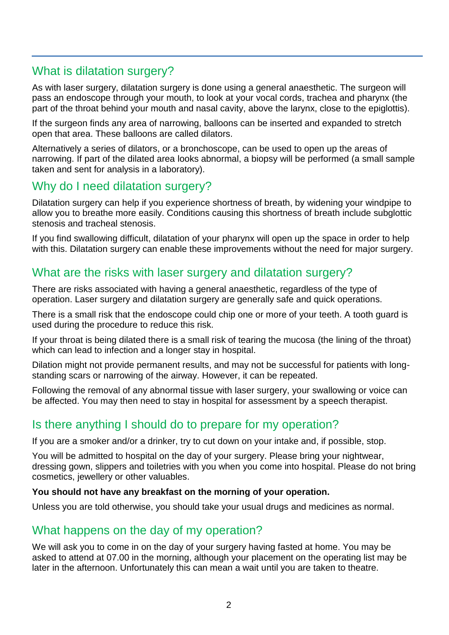# What is dilatation surgery?

As with laser surgery, dilatation surgery is done using a general anaesthetic. The surgeon will pass an endoscope through your mouth, to look at your vocal cords, trachea and pharynx (the part of the throat behind your mouth and nasal cavity, above the larynx, close to the epiglottis).

If the surgeon finds any area of narrowing, balloons can be inserted and expanded to stretch open that area. These balloons are called dilators.

Alternatively a series of dilators, or a bronchoscope, can be used to open up the areas of narrowing. If part of the dilated area looks abnormal, a biopsy will be performed (a small sample taken and sent for analysis in a laboratory).

# Why do I need dilatation surgery?

Dilatation surgery can help if you experience shortness of breath, by widening your windpipe to allow you to breathe more easily. Conditions causing this shortness of breath include subglottic stenosis and tracheal stenosis.

If you find swallowing difficult, dilatation of your pharynx will open up the space in order to help with this. Dilatation surgery can enable these improvements without the need for major surgery.

# What are the risks with laser surgery and dilatation surgery?

There are risks associated with having a general anaesthetic, regardless of the type of operation. Laser surgery and dilatation surgery are generally safe and quick operations.

There is a small risk that the endoscope could chip one or more of your teeth. A tooth guard is used during the procedure to reduce this risk.

If your throat is being dilated there is a small risk of tearing the mucosa (the lining of the throat) which can lead to infection and a longer stay in hospital.

Dilation might not provide permanent results, and may not be successful for patients with longstanding scars or narrowing of the airway. However, it can be repeated.

Following the removal of any abnormal tissue with laser surgery, your swallowing or voice can be affected. You may then need to stay in hospital for assessment by a speech therapist.

# Is there anything I should do to prepare for my operation?

If you are a smoker and/or a drinker, try to cut down on your intake and, if possible, stop.

You will be admitted to hospital on the day of your surgery. Please bring your nightwear, dressing gown, slippers and toiletries with you when you come into hospital. Please do not bring cosmetics, jewellery or other valuables.

#### **You should not have any breakfast on the morning of your operation.**

Unless you are told otherwise, you should take your usual drugs and medicines as normal.

# What happens on the day of my operation?

We will ask you to come in on the day of your surgery having fasted at home. You may be asked to attend at 07.00 in the morning, although your placement on the operating list may be later in the afternoon. Unfortunately this can mean a wait until you are taken to theatre.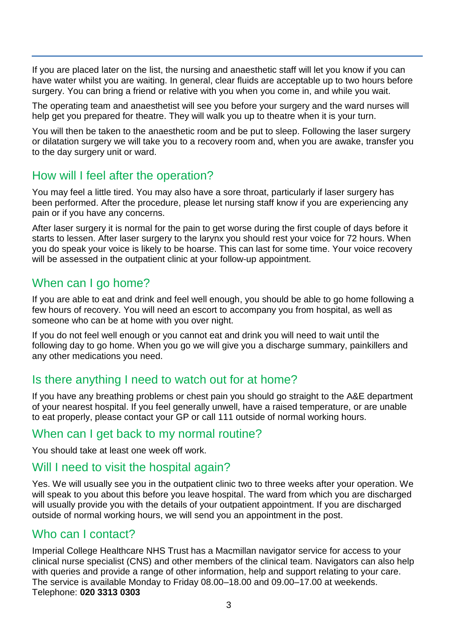If you are placed later on the list, the nursing and anaesthetic staff will let you know if you can have water whilst you are waiting. In general, clear fluids are acceptable up to two hours before surgery. You can bring a friend or relative with you when you come in, and while you wait.

The operating team and anaesthetist will see you before your surgery and the ward nurses will help get you prepared for theatre. They will walk you up to theatre when it is your turn.

You will then be taken to the anaesthetic room and be put to sleep. Following the laser surgery or dilatation surgery we will take you to a recovery room and, when you are awake, transfer you to the day surgery unit or ward.

#### How will I feel after the operation?

You may feel a little tired. You may also have a sore throat, particularly if laser surgery has been performed. After the procedure, please let nursing staff know if you are experiencing any pain or if you have any concerns.

After laser surgery it is normal for the pain to get worse during the first couple of days before it starts to lessen. After laser surgery to the larynx you should rest your voice for 72 hours. When you do speak your voice is likely to be hoarse. This can last for some time. Your voice recovery will be assessed in the outpatient clinic at your follow-up appointment.

#### When can I go home?

If you are able to eat and drink and feel well enough, you should be able to go home following a few hours of recovery. You will need an escort to accompany you from hospital, as well as someone who can be at home with you over night.

If you do not feel well enough or you cannot eat and drink you will need to wait until the following day to go home. When you go we will give you a discharge summary, painkillers and any other medications you need.

# Is there anything I need to watch out for at home?

If you have any breathing problems or chest pain you should go straight to the A&E department of your nearest hospital. If you feel generally unwell, have a raised temperature, or are unable to eat properly, please contact your GP or call 111 outside of normal working hours.

#### When can I get back to my normal routine?

You should take at least one week off work.

#### Will I need to visit the hospital again?

Yes. We will usually see you in the outpatient clinic two to three weeks after your operation. We will speak to you about this before you leave hospital. The ward from which you are discharged will usually provide you with the details of your outpatient appointment. If you are discharged outside of normal working hours, we will send you an appointment in the post.

#### Who can I contact?

Imperial College Healthcare NHS Trust has a Macmillan navigator service for access to your clinical nurse specialist (CNS) and other members of the clinical team. Navigators can also help with queries and provide a range of other information, help and support relating to your care. The service is available Monday to Friday 08.00–18.00 and 09.00–17.00 at weekends. Telephone: **020 3313 0303**